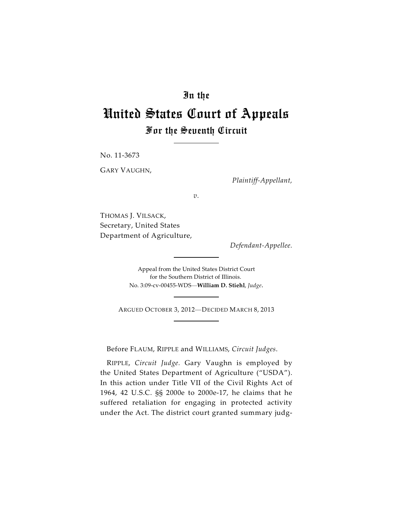## In the

# United States Court of Appeals For the Seventh Circuit

No. 11-3673

GARY VAUGHN,

*Plaintiff-Appellant,*

*v.*

THOMAS J. VILSACK, Secretary, United States Department of Agriculture,

*Defendant-Appellee.*

Appeal from the United States District Court for the Southern District of Illinois. No. 3:09-cv-00455-WDS—**William D. Stiehl**, *Judge*.

ARGUED OCTOBER 3, 2012—DECIDED MARCH 8, 2013

Before FLAUM, RIPPLE and WILLIAMS, *Circuit Judges*.

RIPPLE, *Circuit Judge.* Gary Vaughn is employed by the United States Department of Agriculture ("USDA"). In this action under Title VII of the Civil Rights Act of 1964, 42 U.S.C. §§ 2000e to 2000e-17, he claims that he suffered retaliation for engaging in protected activity under the Act. The district court granted summary judg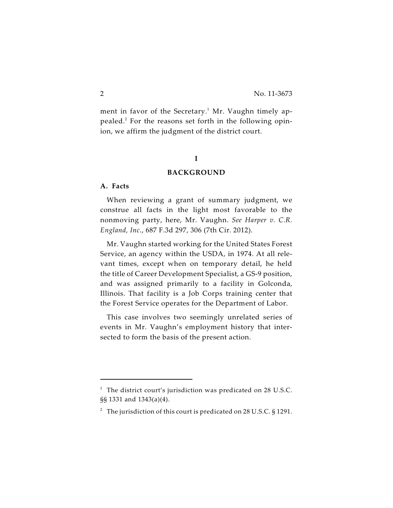ment in favor of the Secretary.<sup>1</sup> Mr. Vaughn timely appealed.<sup>2</sup> For the reasons set forth in the following opinion, we affirm the judgment of the district court.

## **I**

#### **BACKGROUND**

## **A. Facts**

When reviewing a grant of summary judgment, we construe all facts in the light most favorable to the nonmoving party, here, Mr. Vaughn. *See Harper v. C.R. England, Inc.*, 687 F.3d 297, 306 (7th Cir. 2012).

Mr. Vaughn started working for the United States Forest Service, an agency within the USDA, in 1974. At all relevant times, except when on temporary detail, he held the title of Career Development Specialist, a GS-9 position, and was assigned primarily to a facility in Golconda, Illinois. That facility is a Job Corps training center that the Forest Service operates for the Department of Labor.

This case involves two seemingly unrelated series of events in Mr. Vaughn's employment history that intersected to form the basis of the present action.

 $1$  The district court's jurisdiction was predicated on 28 U.S.C. §§ 1331 and 1343(a)(4).

<sup>&</sup>lt;sup>2</sup> The jurisdiction of this court is predicated on 28 U.S.C. § 1291.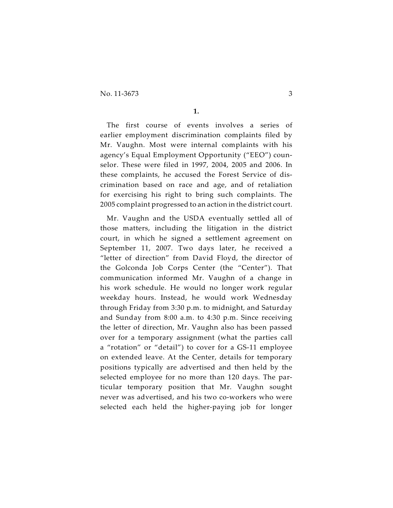No. 11-3673 3

**1.**

The first course of events involves a series of earlier employment discrimination complaints filed by Mr. Vaughn. Most were internal complaints with his agency's Equal Employment Opportunity ("EEO") counselor. These were filed in 1997, 2004, 2005 and 2006. In these complaints, he accused the Forest Service of discrimination based on race and age, and of retaliation for exercising his right to bring such complaints. The 2005 complaint progressed to an action in the district court.

Mr. Vaughn and the USDA eventually settled all of those matters, including the litigation in the district court, in which he signed a settlement agreement on September 11, 2007. Two days later, he received a "letter of direction" from David Floyd, the director of the Golconda Job Corps Center (the "Center"). That communication informed Mr. Vaughn of a change in his work schedule. He would no longer work regular weekday hours. Instead, he would work Wednesday through Friday from 3:30 p.m. to midnight, and Saturday and Sunday from 8:00 a.m. to 4:30 p.m. Since receiving the letter of direction, Mr. Vaughn also has been passed over for a temporary assignment (what the parties call a "rotation" or "detail") to cover for a GS-11 employee on extended leave. At the Center, details for temporary positions typically are advertised and then held by the selected employee for no more than 120 days. The particular temporary position that Mr. Vaughn sought never was advertised, and his two co-workers who were selected each held the higher-paying job for longer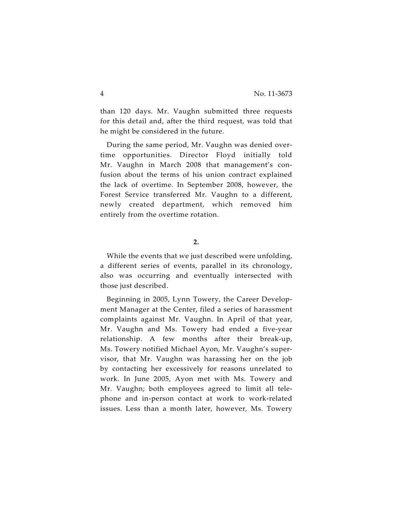than 120 days. Mr. Vaughn submitted three requests for this detail and, after the third request, was told that he might be considered in the future.

During the same period, Mr. Vaughn was denied overtime opportunities. Director Floyd initially told Mr. Vaughn in March 2008 that management's confusion about the terms of his union contract explained the lack of overtime. In September 2008, however, the Forest Service transferred Mr. Vaughn to a different, newly created department, which removed him entirely from the overtime rotation.

#### **2.**

While the events that we just described were unfolding, a different series of events, parallel in its chronology, also was occurring and eventually intersected with those just described.

Beginning in 2005, Lynn Towery, the Career Development Manager at the Center, filed a series of harassment complaints against Mr. Vaughn. In April of that year, Mr. Vaughn and Ms. Towery had ended a five-year relationship. A few months after their break-up, Ms. Towery notified Michael Ayon, Mr. Vaughn's supervisor, that Mr. Vaughn was harassing her on the job by contacting her excessively for reasons unrelated to work. In June 2005, Ayon met with Ms. Towery and Mr. Vaughn; both employees agreed to limit all telephone and in-person contact at work to work-related issues. Less than a month later, however, Ms. Towery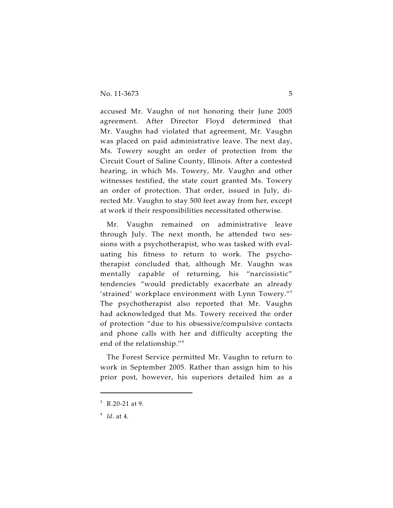accused Mr. Vaughn of not honoring their June 2005 agreement. After Director Floyd determined that Mr. Vaughn had violated that agreement, Mr. Vaughn was placed on paid administrative leave. The next day, Ms. Towery sought an order of protection from the Circuit Court of Saline County, Illinois. After a contested hearing, in which Ms. Towery, Mr. Vaughn and other witnesses testified, the state court granted Ms. Towery an order of protection. That order, issued in July, directed Mr. Vaughn to stay 500 feet away from her, except at work if their responsibilities necessitated otherwise.

Mr. Vaughn remained on administrative leave through July. The next month, he attended two sessions with a psychotherapist, who was tasked with evaluating his fitness to return to work. The psychotherapist concluded that, although Mr. Vaughn was mentally capable of returning, his "narcissistic" tendencies "would predictably exacerbate an already 'strained' workplace environment with Lynn Towery."<sup>3</sup> The psychotherapist also reported that Mr. Vaughn had acknowledged that Ms. Towery received the order of protection "due to his obsessive/compulsive contacts and phone calls with her and difficulty accepting the end of the relationship."<sup>4</sup>

The Forest Service permitted Mr. Vaughn to return to work in September 2005. Rather than assign him to his prior post, however, his superiors detailed him as a

 $R.20-21$  at 9.

 $<sup>4</sup>$  *Id.* at 4.</sup>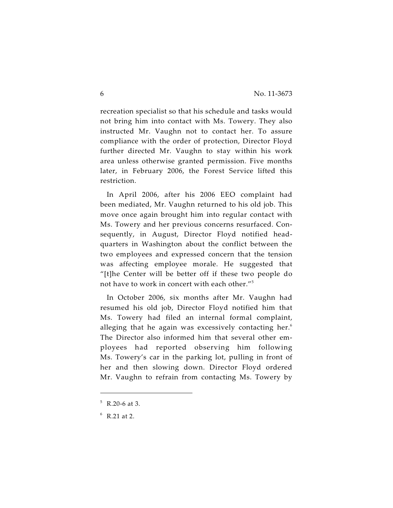recreation specialist so that his schedule and tasks would not bring him into contact with Ms. Towery. They also instructed Mr. Vaughn not to contact her. To assure compliance with the order of protection, Director Floyd further directed Mr. Vaughn to stay within his work area unless otherwise granted permission. Five months later, in February 2006, the Forest Service lifted this restriction.

In April 2006, after his 2006 EEO complaint had been mediated, Mr. Vaughn returned to his old job. This move once again brought him into regular contact with Ms. Towery and her previous concerns resurfaced. Consequently, in August, Director Floyd notified headquarters in Washington about the conflict between the two employees and expressed concern that the tension was affecting employee morale. He suggested that "[t]he Center will be better off if these two people do not have to work in concert with each other."<sup>5</sup>

In October 2006, six months after Mr. Vaughn had resumed his old job, Director Floyd notified him that Ms. Towery had filed an internal formal complaint, alleging that he again was excessively contacting her. $6$ The Director also informed him that several other employees had reported observing him following Ms. Towery's car in the parking lot, pulling in front of her and then slowing down. Director Floyd ordered Mr. Vaughn to refrain from contacting Ms. Towery by

 $5 R.20-6$  at 3.

 $6$  R.21 at 2.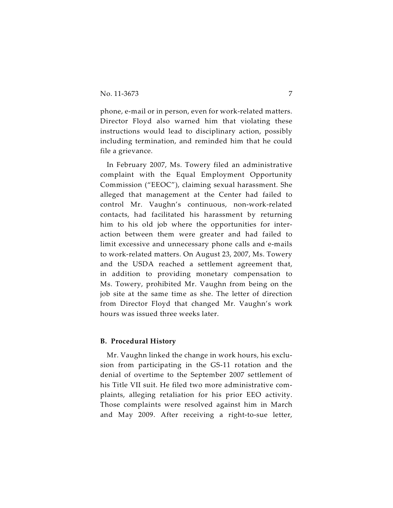phone, e-mail or in person, even for work-related matters. Director Floyd also warned him that violating these instructions would lead to disciplinary action, possibly including termination, and reminded him that he could file a grievance.

In February 2007, Ms. Towery filed an administrative complaint with the Equal Employment Opportunity Commission ("EEOC"), claiming sexual harassment. She alleged that management at the Center had failed to control Mr. Vaughn's continuous, non-work-related contacts, had facilitated his harassment by returning him to his old job where the opportunities for interaction between them were greater and had failed to limit excessive and unnecessary phone calls and e-mails to work-related matters. On August 23, 2007, Ms. Towery and the USDA reached a settlement agreement that, in addition to providing monetary compensation to Ms. Towery, prohibited Mr. Vaughn from being on the job site at the same time as she. The letter of direction from Director Floyd that changed Mr. Vaughn's work hours was issued three weeks later.

#### **B. Procedural History**

Mr. Vaughn linked the change in work hours, his exclusion from participating in the GS-11 rotation and the denial of overtime to the September 2007 settlement of his Title VII suit. He filed two more administrative complaints, alleging retaliation for his prior EEO activity. Those complaints were resolved against him in March and May 2009. After receiving a right-to-sue letter,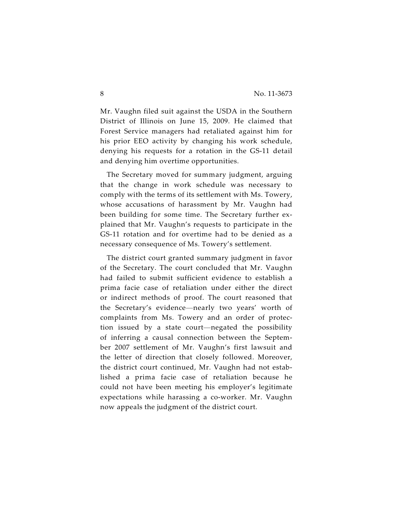Mr. Vaughn filed suit against the USDA in the Southern District of Illinois on June 15, 2009. He claimed that Forest Service managers had retaliated against him for his prior EEO activity by changing his work schedule, denying his requests for a rotation in the GS-11 detail and denying him overtime opportunities.

The Secretary moved for summary judgment, arguing that the change in work schedule was necessary to comply with the terms of its settlement with Ms. Towery, whose accusations of harassment by Mr. Vaughn had been building for some time. The Secretary further explained that Mr. Vaughn's requests to participate in the GS-11 rotation and for overtime had to be denied as a necessary consequence of Ms. Towery's settlement.

The district court granted summary judgment in favor of the Secretary. The court concluded that Mr. Vaughn had failed to submit sufficient evidence to establish a prima facie case of retaliation under either the direct or indirect methods of proof. The court reasoned that the Secretary's evidence—nearly two years' worth of complaints from Ms. Towery and an order of protection issued by a state court—negated the possibility of inferring a causal connection between the September 2007 settlement of Mr. Vaughn's first lawsuit and the letter of direction that closely followed. Moreover, the district court continued, Mr. Vaughn had not established a prima facie case of retaliation because he could not have been meeting his employer's legitimate expectations while harassing a co-worker. Mr. Vaughn now appeals the judgment of the district court.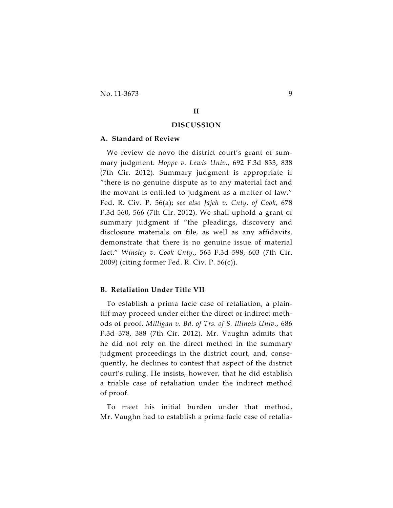No. 11-3673 9

### **II**

#### **DISCUSSION**

#### **A. Standard of Review**

We review de novo the district court's grant of summary judgment. *Hoppe v. Lewis Univ.*, 692 F.3d 833, 838 (7th Cir. 2012). Summary judgment is appropriate if "there is no genuine dispute as to any material fact and the movant is entitled to judgment as a matter of law." Fed. R. Civ. P. 56(a); *see also Jajeh v. Cnty. of Cook*, 678 F.3d 560, 566 (7th Cir. 2012). We shall uphold a grant of summary judgment if "the pleadings, discovery and disclosure materials on file, as well as any affidavits, demonstrate that there is no genuine issue of material fact." *Winsley v. Cook Cnty.*, 563 F.3d 598, 603 (7th Cir. 2009) (citing former Fed. R. Civ. P. 56(c)).

#### **B. Retaliation Under Title VII**

To establish a prima facie case of retaliation, a plaintiff may proceed under either the direct or indirect methods of proof. *Milligan v. Bd. of Trs. of S. Illinois Univ.*, 686 F.3d 378, 388 (7th Cir. 2012). Mr. Vaughn admits that he did not rely on the direct method in the summary judgment proceedings in the district court, and, consequently, he declines to contest that aspect of the district court's ruling. He insists, however, that he did establish a triable case of retaliation under the indirect method of proof.

To meet his initial burden under that method, Mr. Vaughn had to establish a prima facie case of retalia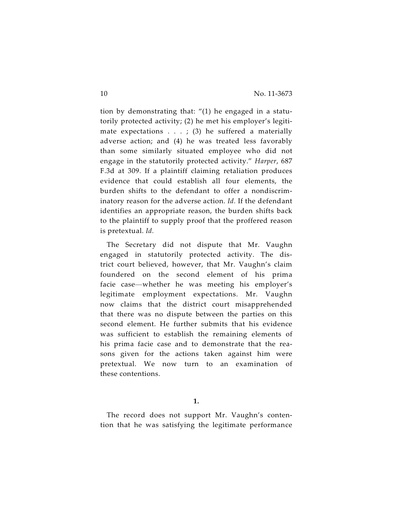tion by demonstrating that: "(1) he engaged in a statutorily protected activity; (2) he met his employer's legitimate expectations  $\ldots$ ; (3) he suffered a materially adverse action; and (4) he was treated less favorably than some similarly situated employee who did not engage in the statutorily protected activity." *Harper*, 687 F.3d at 309. If a plaintiff claiming retaliation produces evidence that could establish all four elements, the burden shifts to the defendant to offer a nondiscriminatory reason for the adverse action. *Id.* If the defendant identifies an appropriate reason, the burden shifts back to the plaintiff to supply proof that the proffered reason is pretextual. *Id.*

The Secretary did not dispute that Mr. Vaughn engaged in statutorily protected activity. The district court believed, however, that Mr. Vaughn's claim foundered on the second element of his prima facie case—whether he was meeting his employer's legitimate employment expectations. Mr. Vaughn now claims that the district court misapprehended that there was no dispute between the parties on this second element. He further submits that his evidence was sufficient to establish the remaining elements of his prima facie case and to demonstrate that the reasons given for the actions taken against him were pretextual. We now turn to an examination of these contentions.

The record does not support Mr. Vaughn's contention that he was satisfying the legitimate performance

**<sup>1.</sup>**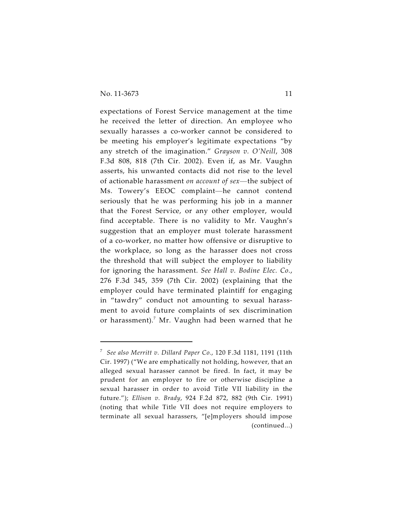expectations of Forest Service management at the time he received the letter of direction. An employee who sexually harasses a co-worker cannot be considered to be meeting his employer's legitimate expectations "by any stretch of the imagination." *Grayson v. O'Neill*, 308 F.3d 808, 818 (7th Cir. 2002). Even if, as Mr. Vaughn asserts, his unwanted contacts did not rise to the level of actionable harassment *on account of sex*—the subject of Ms. Towery's EEOC complaint—he cannot contend seriously that he was performing his job in a manner that the Forest Service, or any other employer, would find acceptable. There is no validity to Mr. Vaughn's suggestion that an employer must tolerate harassment of a co-worker, no matter how offensive or disruptive to the workplace, so long as the harasser does not cross the threshold that will subject the employer to liability for ignoring the harassment. *See Hall v. Bodine Elec. Co.*, 276 F.3d 345, 359 (7th Cir. 2002) (explaining that the employer could have terminated plaintiff for engaging in "tawdry" conduct not amounting to sexual harassment to avoid future complaints of sex discrimination or harassment).<sup>7</sup> Mr. Vaughn had been warned that he

<sup>&</sup>lt;sup>7</sup> See also Merritt v. Dillard Paper Co., 120 F.3d 1181, 1191 (11th Cir. 1997) ("We are emphatically not holding, however, that an alleged sexual harasser cannot be fired. In fact, it may be prudent for an employer to fire or otherwise discipline a sexual harasser in order to avoid Title VII liability in the future."); *Ellison v. Brady*, 924 F.2d 872, 882 (9th Cir. 1991) (noting that while Title VII does not require employers to terminate all sexual harassers, "[e]mployers should impose (continued...)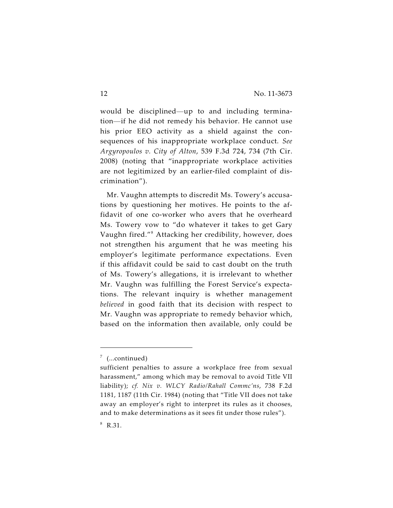would be disciplined—up to and including termination—if he did not remedy his behavior. He cannot use his prior EEO activity as a shield against the consequences of his inappropriate workplace conduct. *See Argyropoulos v. City of Alton*, 539 F.3d 724, 734 (7th Cir. 2008) (noting that "inappropriate workplace activities are not legitimized by an earlier-filed complaint of discrimination").

Mr. Vaughn attempts to discredit Ms. Towery's accusations by questioning her motives. He points to the affidavit of one co-worker who avers that he overheard Ms. Towery vow to "do whatever it takes to get Gary Vaughn fired."<sup>8</sup> Attacking her credibility, however, does not strengthen his argument that he was meeting his employer's legitimate performance expectations. Even if this affidavit could be said to cast doubt on the truth of Ms. Towery's allegations, it is irrelevant to whether Mr. Vaughn was fulfilling the Forest Service's expectations. The relevant inquiry is whether management *believed* in good faith that its decision with respect to Mr. Vaughn was appropriate to remedy behavior which, based on the information then available, only could be

 $7$  (...continued)

sufficient penalties to assure a workplace free from sexual harassment," among which may be removal to avoid Title VII liability); *cf. Nix v. WLCY Radio/Rahall Commc'ns*, 738 F.2d 1181, 1187 (11th Cir. 1984) (noting that "Title VII does not take away an employer's right to interpret its rules as it chooses, and to make determinations as it sees fit under those rules").

 $8 R.31.$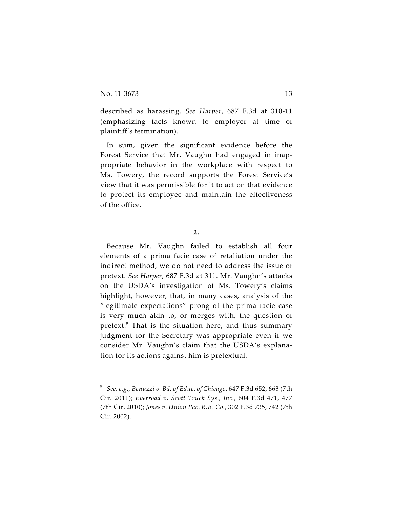described as harassing. *See Harper*, 687 F.3d at 310-11 (emphasizing facts known to employer at time of plaintiff's termination).

In sum, given the significant evidence before the Forest Service that Mr. Vaughn had engaged in inappropriate behavior in the workplace with respect to Ms. Towery, the record supports the Forest Service's view that it was permissible for it to act on that evidence to protect its employee and maintain the effectiveness of the office.

**2.**

Because Mr. Vaughn failed to establish all four elements of a prima facie case of retaliation under the indirect method, we do not need to address the issue of pretext. *See Harper*, 687 F.3d at 311. Mr. Vaughn's attacks on the USDA's investigation of Ms. Towery's claims highlight, however, that, in many cases, analysis of the "legitimate expectations" prong of the prima facie case is very much akin to, or merges with, the question of pretext. $\degree$  That is the situation here, and thus summary judgment for the Secretary was appropriate even if we consider Mr. Vaughn's claim that the USDA's explanation for its actions against him is pretextual.

*See, e.g., Benuzzi v. Bd. of Educ. of Chicago*, 647 F.3d 652, 663 (7th <sup>9</sup> Cir. 2011); *Everroad v. Scott Truck Sys., Inc.*, 604 F.3d 471, 477 (7th Cir. 2010); *Jones v. Union Pac*. *R.R. Co.*, 302 F.3d 735, 742 (7th Cir. 2002).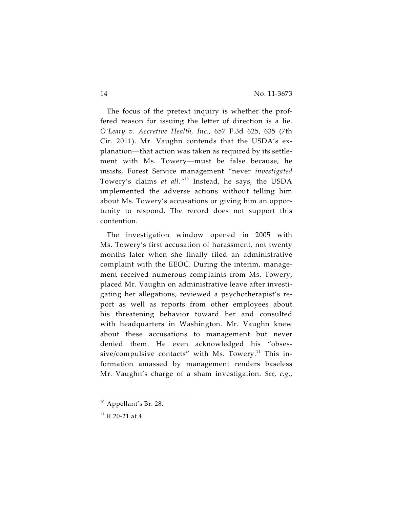The focus of the pretext inquiry is whether the proffered reason for issuing the letter of direction is a lie. *O'Leary v. Accretive Health, Inc.*, 657 F.3d 625, 635 (7th Cir. 2011). Mr. Vaughn contends that the USDA's explanation—that action was taken as required by its settlement with Ms. Towery—must be false because, he insists, Forest Service management "never *investigated* Towery's claims at all."<sup>10</sup> Instead, he says, the USDA implemented the adverse actions without telling him about Ms. Towery's accusations or giving him an opportunity to respond. The record does not support this contention.

The investigation window opened in 2005 with Ms. Towery's first accusation of harassment, not twenty months later when she finally filed an administrative complaint with the EEOC. During the interim, management received numerous complaints from Ms. Towery, placed Mr. Vaughn on administrative leave after investigating her allegations, reviewed a psychotherapist's report as well as reports from other employees about his threatening behavior toward her and consulted with headquarters in Washington. Mr. Vaughn knew about these accusations to management but never denied them. He even acknowledged his "obsessive/compulsive contacts" with Ms. Towery. $11$  This information amassed by management renders baseless Mr. Vaughn's charge of a sham investigation. *See, e.g.*,

 $10$  Appellant's Br. 28.

 $11$  R.20-21 at 4.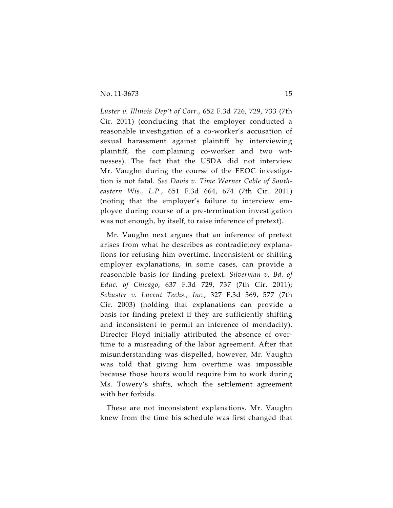*Luster v. Illinois Dep't of Corr.*, 652 F.3d 726, 729, 733 (7th Cir. 2011) (concluding that the employer conducted a reasonable investigation of a co-worker's accusation of sexual harassment against plaintiff by interviewing plaintiff, the complaining co-worker and two witnesses). The fact that the USDA did not interview Mr. Vaughn during the course of the EEOC investigation is not fatal. *See Davis v. Time Warner Cable of Southeastern Wis., L.P.*, 651 F.3d 664, 674 (7th Cir. 2011) (noting that the employer's failure to interview employee during course of a pre-termination investigation was not enough, by itself, to raise inference of pretext).

Mr. Vaughn next argues that an inference of pretext arises from what he describes as contradictory explanations for refusing him overtime. Inconsistent or shifting employer explanations, in some cases, can provide a reasonable basis for finding pretext. *Silverman v. Bd. of Educ. of Chicago*, 637 F.3d 729, 737 (7th Cir. 2011); *Schuster v. Lucent Techs., Inc.*, 327 F.3d 569, 577 (7th Cir. 2003) (holding that explanations can provide a basis for finding pretext if they are sufficiently shifting and inconsistent to permit an inference of mendacity). Director Floyd initially attributed the absence of overtime to a misreading of the labor agreement. After that misunderstanding was dispelled, however, Mr. Vaughn was told that giving him overtime was impossible because those hours would require him to work during Ms. Towery's shifts, which the settlement agreement with her forbids.

These are not inconsistent explanations. Mr. Vaughn knew from the time his schedule was first changed that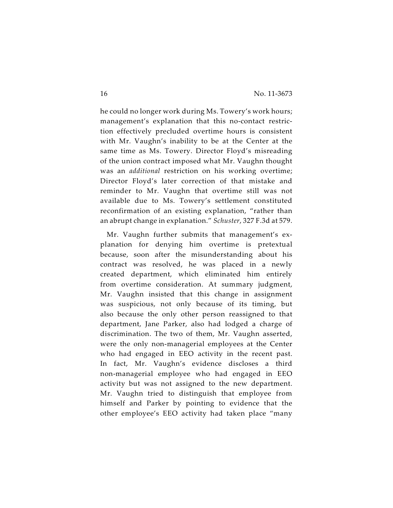he could no longer work during Ms. Towery's work hours; management's explanation that this no-contact restriction effectively precluded overtime hours is consistent with Mr. Vaughn's inability to be at the Center at the same time as Ms. Towery. Director Floyd's misreading of the union contract imposed what Mr. Vaughn thought was an *additional* restriction on his working overtime; Director Floyd's later correction of that mistake and reminder to Mr. Vaughn that overtime still was not available due to Ms. Towery's settlement constituted reconfirmation of an existing explanation, "rather than an abrupt change in explanation." *Schuster*, 327 F.3d at 579.

Mr. Vaughn further submits that management's explanation for denying him overtime is pretextual because, soon after the misunderstanding about his contract was resolved, he was placed in a newly created department, which eliminated him entirely from overtime consideration. At summary judgment, Mr. Vaughn insisted that this change in assignment was suspicious, not only because of its timing, but also because the only other person reassigned to that department, Jane Parker, also had lodged a charge of discrimination. The two of them, Mr. Vaughn asserted, were the only non-managerial employees at the Center who had engaged in EEO activity in the recent past. In fact, Mr. Vaughn's evidence discloses a third non-managerial employee who had engaged in EEO activity but was not assigned to the new department. Mr. Vaughn tried to distinguish that employee from himself and Parker by pointing to evidence that the other employee's EEO activity had taken place "many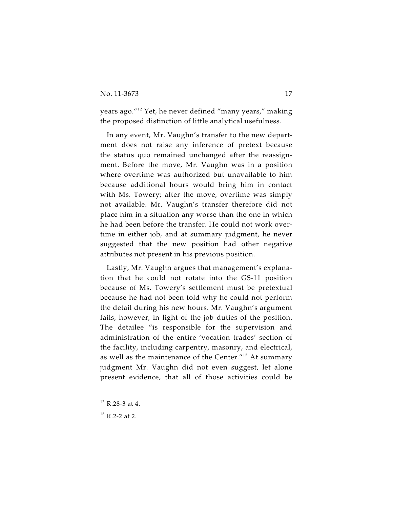years ago."<sup>12</sup> Yet, he never defined "many years," making the proposed distinction of little analytical usefulness.

In any event, Mr. Vaughn's transfer to the new department does not raise any inference of pretext because the status quo remained unchanged after the reassignment. Before the move, Mr. Vaughn was in a position where overtime was authorized but unavailable to him because additional hours would bring him in contact with Ms. Towery; after the move, overtime was simply not available. Mr. Vaughn's transfer therefore did not place him in a situation any worse than the one in which he had been before the transfer. He could not work overtime in either job, and at summary judgment, he never suggested that the new position had other negative attributes not present in his previous position.

Lastly, Mr. Vaughn argues that management's explanation that he could not rotate into the GS-11 position because of Ms. Towery's settlement must be pretextual because he had not been told why he could not perform the detail during his new hours. Mr. Vaughn's argument fails, however, in light of the job duties of the position. The detailee "is responsible for the supervision and administration of the entire 'vocation trades' section of the facility, including carpentry, masonry, and electrical, as well as the maintenance of the Center. $^{\prime\prime 13}$  At summary judgment Mr. Vaughn did not even suggest, let alone present evidence, that all of those activities could be

 $12$  R.28-3 at 4.

 $13$  R.2-2 at 2.